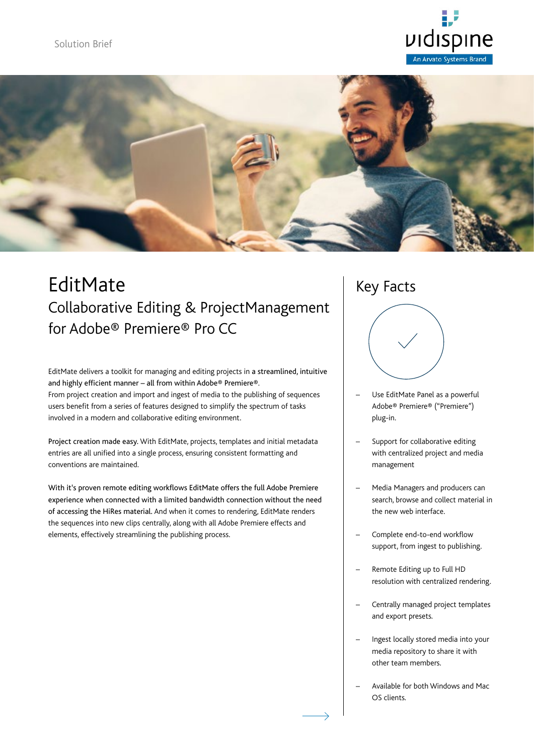



## EditMate Collaborative Editing & ProjectManagement for Adobe® Premiere® Pro CC

EditMate delivers a toolkit for managing and editing projects in a streamlined, intuitive and highly efficient manner – all from within Adobe® Premiere®. From project creation and import and ingest of media to the publishing of sequences users benefit from a series of features designed to simplify the spectrum of tasks involved in a modern and collaborative editing environment.

Project creation made easy. With EditMate, projects, templates and initial metadata entries are all unified into a single process, ensuring consistent formatting and conventions are maintained.

With it's proven remote editing workflows EditMate offers the full Adobe Premiere experience when connected with a limited bandwidth connection without the need of accessing the HiRes material. And when it comes to rendering, EditMate renders the sequences into new clips centrally, along with all Adobe Premiere effects and elements, effectively streamlining the publishing process.

## Key Facts



- Use EditMate Panel as a powerful Adobe® Premiere® ("Premiere") plug-in.
- Support for collaborative editing with centralized project and media management
- Media Managers and producers can search, browse and collect material in the new web interface.
- Complete end-to-end workflow support, from ingest to publishing.
- Remote Editing up to Full HD resolution with centralized rendering.
- Centrally managed project templates and export presets.
- Ingest locally stored media into your media repository to share it with other team members.
- Available for both Windows and Mac OS clients.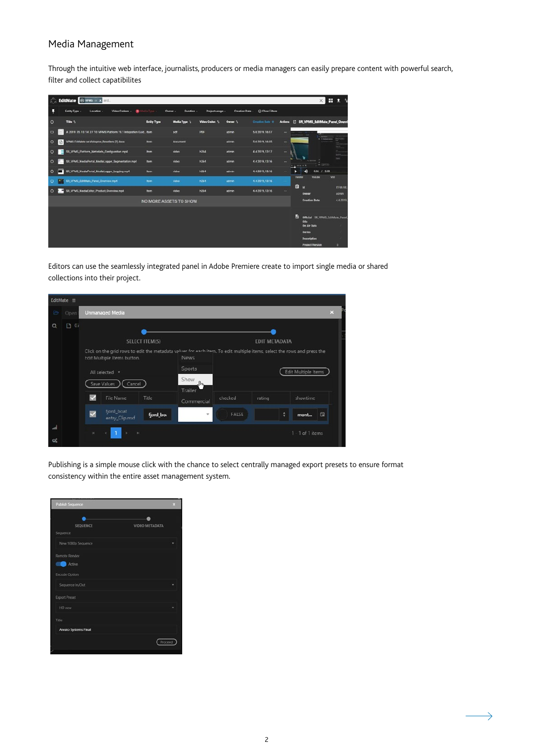### Media Management

Through the intuitive web interface, journalists, producers or media managers can easily prepare content with powerful search, filter and collect capatibilites

|         |                        | <b>California Common Street Street Street Street Street Street Street Street Street Street Street</b> |                    |                       |                 |                 |                 |                | н<br>$\times$                                | $\cdot$                 |
|---------|------------------------|-------------------------------------------------------------------------------------------------------|--------------------|-----------------------|-----------------|-----------------|-----------------|----------------|----------------------------------------------|-------------------------|
|         |                        | Video Codoco -<br>۰<br>Entity Type -<br>Location -                                                    | Sedia Type -       | Owner -<br>Duration - | Project uesge - | Crostion Dato - | C Clear Filtors |                |                                              |                         |
| $\circ$ |                        | Title \                                                                                               | <b>Entity Type</b> | Media Type 1          | Video Codes: 1  | Owner 1         | Creation Date 4 | Actions        | <b>E SR_VPIMS_EditMate_Pamel_Overv</b>       |                         |
| $\circ$ |                        | A 2019 05 10 14 27 10 VPMS Platform 19.1 Integration Guid item                                        |                    | pet                   | PDF             | admin           | 5.6.2019.16:07  | $\sim$         |                                              |                         |
| $\circ$ | $\Box$                 | VPMS FittMate on Vidispine, Resolders (7) docs                                                        | Item               | document              |                 | admin           | 5.6.2019.1605   | $\sim$         |                                              |                         |
| $\circ$ |                        | SR_VPMS_Platform_Matadata_Configuration mpd                                                           | <b>Bem</b>         | video                 | <b>h264</b>     | admin           | 44 2019, 13:17  | $\overline{a}$ |                                              |                         |
| $\circ$ |                        | SD_VPMS_MediaPortal_MediaLogger_Segmentation.mp4                                                      | <b>Item</b>        | video                 | <b>N264</b>     | sémin           | 4.4.2019, 13:16 | w              | CEM                                          |                         |
| $\circ$ |                        | GR_VPMS_MediaPortal_MediaLogger_Logging.mp4                                                           | item.              | video                 | <b>h264</b>     | admin.          | 4.4.2019.13:16  |                | 208                                          |                         |
| $\circ$ | c                      | ST_VPMS_EditMate_Panel_Dverview.vg/E                                                                  | <b>Barry</b>       | video                 | <b>H264</b>     | admin           | 4.4.3010, 13:16 |                | VOU<br><b>YOUTURE</b><br><b>Harsta</b>       |                         |
| $\circ$ |                        | SR_VPMS_MediaEditor_Product_Overview.mp4                                                              | <b>Item</b>        | video                 | <b>h254</b>     | admin           | 4.4.2019, 13:16 |                | o<br>M<br>Owner                              | <b>ITEM-VX</b><br>ocmin |
|         | NO MORE ASSETS TO SHOW |                                                                                                       |                    |                       |                 |                 |                 |                |                                              | 4.4.2019                |
|         |                        |                                                                                                       |                    |                       |                 |                 |                 |                |                                              |                         |
|         |                        |                                                                                                       |                    |                       |                 |                 |                 |                | Ð<br>Official SR VPMS EditMate Panel<br>this |                         |
|         |                        |                                                                                                       |                    |                       |                 |                 |                 |                | On Air Date<br><b>Series</b>                 |                         |
|         |                        |                                                                                                       |                    |                       |                 |                 |                 |                | December                                     |                         |
|         |                        |                                                                                                       |                    |                       |                 |                 |                 |                | <b>Project Version</b>                       | $\blacksquare$          |

Editors can use the seamlessly integrated panel in Adobe Premiere create to import single media or shared collections into their project.

|           |                |                         | <b>Unmanaged Media</b>       |                       |                                                                                                                                        |                      |        |                     | $\mathbf{x}$ |
|-----------|----------------|-------------------------|------------------------------|-----------------------|----------------------------------------------------------------------------------------------------------------------------------------|----------------------|--------|---------------------|--------------|
| B<br>Open |                |                         |                              |                       |                                                                                                                                        |                      |        |                     |              |
| D         | 0 <sub>i</sub> |                         |                              |                       |                                                                                                                                        |                      |        |                     |              |
|           |                |                         |                              | <b>SELECT ITEM(S)</b> |                                                                                                                                        | <b>EDIT METADATA</b> |        |                     |              |
|           |                |                         | Edit Multiple Items button.  |                       | Click on the grid rows to edit the metadata values for each item. To edit multiple items, select the rows and press the<br><b>News</b> |                      |        |                     |              |
|           | All selected * |                         |                              |                       | Sports                                                                                                                                 |                      |        |                     |              |
|           |                |                         |                              |                       |                                                                                                                                        |                      |        | Edit Multiple Items |              |
|           |                |                         | Save Values<br>)( Cancel     |                       | Show                                                                                                                                   |                      |        |                     |              |
|           |                | $\sim$                  | File Name                    | Title                 | Trailer<br>Commercial                                                                                                                  | checked              | rating | showtime            |              |
|           |                | $\overline{\mathbf{v}}$ | fjord_boat<br>entry_Clip.mxf | fjord_bo.             | $\mathbf{v}$                                                                                                                           | FALSE                |        | mont                | 日            |

Publishing is a simple mouse click with the chance to select centrally managed export presets to ensure format consistency within the entire asset management system.

| <b>Publish Sequence</b> | z                     |
|-------------------------|-----------------------|
| SEQUENCE                | <b>VIDEO METADATA</b> |
| Sequence                |                       |
| New 1080p Sequence      |                       |
| Remote Render           |                       |
| Active                  |                       |
| <b>Encode Option</b>    |                       |
| Sequence In/Out         |                       |
| Export Preset           |                       |
| HD new                  |                       |
| Title                   |                       |
| Arvato Systems Final    |                       |
|                         | Proceed               |
|                         |                       |

 $\rightarrow$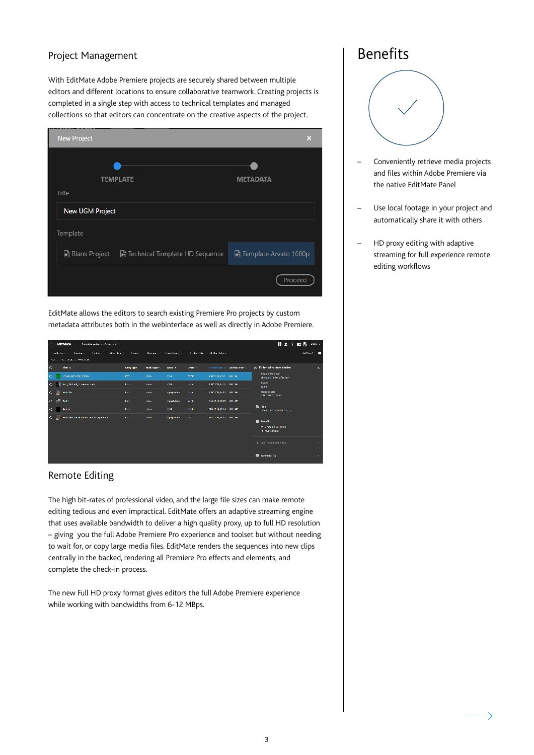#### Project Management

With EditMate Adobe Premiere projects are securely shared between multiple editors and different locations to ensure collaborative teamwork. Creating projects is completed in a single step with access to technical templates and managed collections so that editors can concentrate on the creative aspects of the project.

| <b>New Project</b>                                     | ×                     |
|--------------------------------------------------------|-----------------------|
|                                                        |                       |
| <b>TEMPLATE</b>                                        | <b>METADATA</b>       |
| Title                                                  |                       |
| New UGM Project                                        |                       |
| Template                                               |                       |
| <b>Blank Project</b><br>Technical Template HD Sequence | Template Arvato 1080p |
|                                                        | Proceed               |

EditMate allows the editors to search existing Premiere Pro projects by custom metadata attributes both in the webinterface as well as directly in Adobe Premiere.

| $\mathcal{L}$ : EditMate<br>Small before application of researching of |              |                |                        |                    |                            |                               | 昔まり動物                                                           | <b>AMAN</b> + |              |
|------------------------------------------------------------------------|--------------|----------------|------------------------|--------------------|----------------------------|-------------------------------|-----------------------------------------------------------------|---------------|--------------|
| <b>College -</b><br>maliky hours in<br><b>Lookers</b><br>Webstern      | Cours 4      | $12 - 12 - 12$ | <b>Diagonian art 4</b> |                    | Denderstäde - Gildereichen |                               |                                                                 | Authority.    | Ш            |
| Telectric Association (CITMAGE)                                        |              |                |                        |                    |                            |                               |                                                                 |               |              |
| $\subset$<br>the n                                                     | anty me.     | mando upor su  | 120906-01              | <b>UVER 1</b>      |                            | <b>CONTINUES OF AMERICANS</b> | [2] Trailed offers after minder                                 |               | $\mathbf{x}$ |
| <b>ISSNA DATA SEVI MIRORA</b><br>C.                                    | <b>PEY</b>   | sion.          | 504                    | 7778               | 4 USE NUMBER ON SAF        |                               | <b>Digital Shower</b><br>Simpo of a letoReure-1                 |               |              |
| $\mathbf{C}$<br>be justed, Kinsan and                                  | <b>Good</b>  | Sales.         | <b>KNA</b>             | $\sim$ 0.000 $\pm$ | лена эдина - напан         |                               | Dunne<br>227F                                                   |               |              |
| O B HANN                                                               | <b>Text</b>  | <b>SERI</b>    | ing in plantice.       | 1818               | 2003/01/03 16:13 16:13     |                               | <b>Creation Date</b><br>$2.312 \times 10^{11}$ , $3^{11}$ JA BC |               |              |
| $C = 0.5$ Tells                                                        | <b>IST</b>   | 1 km           | To apply takes         | <b>SETE</b>        | 210-2019, 18:15 ONLY T     |                               |                                                                 |               |              |
| K.<br><b>BUILDER</b>                                                   | <b>htv</b>   | <b>Sides</b>   | <b>Road</b>            | <b>SEPR</b>        | 27.0.00 B, 1954 061 SE     |                               | Et mail<br>Linear cent artist for the 1991                      |               |              |
| $\circ$ 2<br>Be leave sponsors because your configuration.             | <b>Thurs</b> | <b>Amino</b>   | ing in planker.        | 1641               | ASSAULTS ST., DRUGH        |                               | <b>B</b> Fordh                                                  |               |              |
|                                                                        |              |                |                        |                    |                            |                               | <sup>2</sup> Singere Colorator<br><b>B</b> <i>tame</i> Toder    |               |              |
|                                                                        |              |                |                        |                    |                            |                               | <b>Continued and his lines.</b>                                 |               | ٠            |
|                                                                        |              |                |                        |                    |                            |                               | <b>E</b> componenting                                           |               |              |
|                                                                        |              |                |                        |                    |                            |                               |                                                                 |               |              |

#### Remote Editing

The high bit-rates of professional video, and the large file sizes can make remote editing tedious and even impractical. EditMate offers an adaptive streaming engine that uses available bandwidth to deliver a high quality proxy, up to full HD resolution – giving you the full Adobe Premiere Pro experience and toolset but without needing to wait for, or copy large media files. EditMate renders the sequences into new clips centrally in the backed, rendering all Premiere Pro effects and elements, and complete the check-in process.

The new Full HD proxy format gives editors the full Adobe Premiere experience while working with bandwidths from 6-12 MBps.

## Benefits



- Conveniently retrieve media projects and files within Adobe Premiere via the native EditMate Panel
- Use local footage in your project and automatically share it with others
- HD proxy editing with adaptive streaming for full experience remote editing workflows

 $\rightarrow$